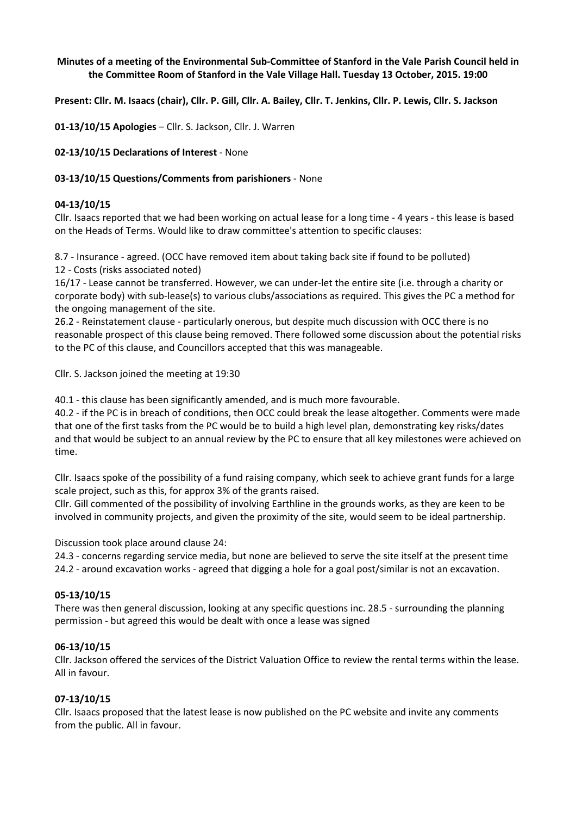### **Minutes of a meeting of the Environmental Sub-Committee of Stanford in the Vale Parish Council held in the Committee Room of Stanford in the Vale Village Hall. Tuesday 13 October, 2015. 19:00**

**Present: Cllr. M. Isaacs (chair), Cllr. P. Gill, Cllr. A. Bailey, Cllr. T. Jenkins, Cllr. P. Lewis, Cllr. S. Jackson** 

**01-13/10/15 Apologies** – Cllr. S. Jackson, Cllr. J. Warren

**02-13/10/15 Declarations of Interest** - None

#### **03-13/10/15 Questions/Comments from parishioners** - None

### **04-13/10/15**

Cllr. Isaacs reported that we had been working on actual lease for a long time - 4 years - this lease is based on the Heads of Terms. Would like to draw committee's attention to specific clauses:

8.7 - Insurance - agreed. (OCC have removed item about taking back site if found to be polluted) 12 - Costs (risks associated noted)

16/17 - Lease cannot be transferred. However, we can under-let the entire site (i.e. through a charity or corporate body) with sub-lease(s) to various clubs/associations as required. This gives the PC a method for the ongoing management of the site.

26.2 - Reinstatement clause - particularly onerous, but despite much discussion with OCC there is no reasonable prospect of this clause being removed. There followed some discussion about the potential risks to the PC of this clause, and Councillors accepted that this was manageable.

Cllr. S. Jackson joined the meeting at 19:30

40.1 - this clause has been significantly amended, and is much more favourable.

40.2 - if the PC is in breach of conditions, then OCC could break the lease altogether. Comments were made that one of the first tasks from the PC would be to build a high level plan, demonstrating key risks/dates and that would be subject to an annual review by the PC to ensure that all key milestones were achieved on time.

Cllr. Isaacs spoke of the possibility of a fund raising company, which seek to achieve grant funds for a large scale project, such as this, for approx 3% of the grants raised.

Cllr. Gill commented of the possibility of involving Earthline in the grounds works, as they are keen to be involved in community projects, and given the proximity of the site, would seem to be ideal partnership.

Discussion took place around clause 24:

24.3 - concerns regarding service media, but none are believed to serve the site itself at the present time 24.2 - around excavation works - agreed that digging a hole for a goal post/similar is not an excavation.

## **05-13/10/15**

There was then general discussion, looking at any specific questions inc. 28.5 - surrounding the planning permission - but agreed this would be dealt with once a lease was signed

#### **06-13/10/15**

Cllr. Jackson offered the services of the District Valuation Office to review the rental terms within the lease. All in favour.

#### **07-13/10/15**

Cllr. Isaacs proposed that the latest lease is now published on the PC website and invite any comments from the public. All in favour.